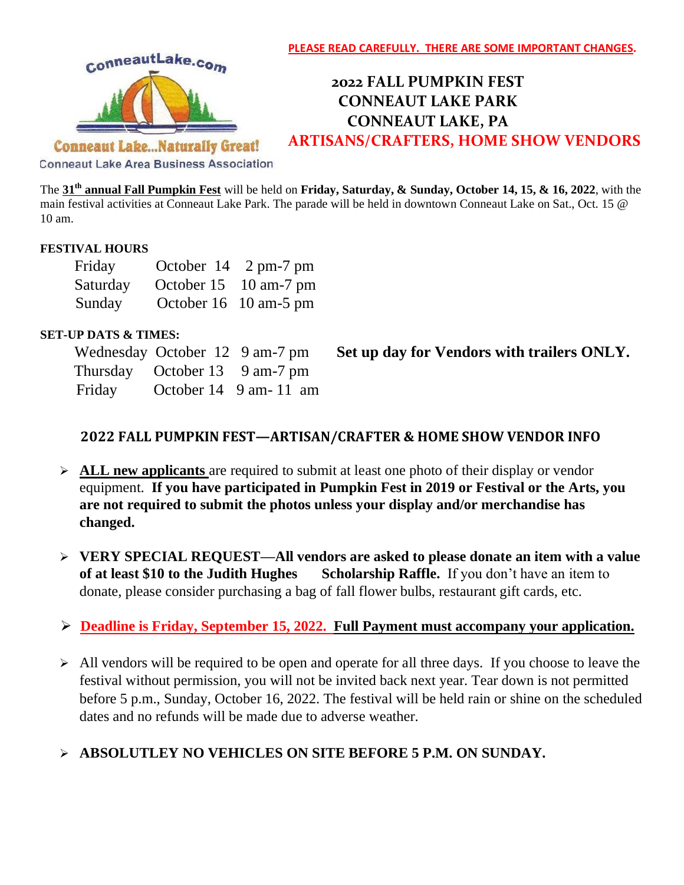

# **2022 FALL PUMPKIN FEST CONNEAUT LAKE PARK CONNEAUT LAKE, PA ARTISANS/CRAFTERS, HOME SHOW VENDORS**

**Conneaut Lake...Naturally Great!** 

**Conneaut Lake Area Business Association** 

The **31 th annual Fall Pumpkin Fest** will be held on **Friday, Saturday, & Sunday, October 14, 15, & 16, 2022**, with the main festival activities at Conneaut Lake Park. The parade will be held in downtown Conneaut Lake on Sat., Oct. 15 @ 10 am.

#### **FESTIVAL HOURS**

| Friday   | October $14 \quad 2 \text{ pm-7 pm}$ |
|----------|--------------------------------------|
| Saturday | October 15 10 am-7 pm                |
| Sunday   | October 16 10 am-5 pm                |

#### **SET-UP DATS & TIMES:**

|        | Wednesday October 12 9 am-7 pm |                       |
|--------|--------------------------------|-----------------------|
|        | Thursday October 13 9 am-7 pm  |                       |
| Friday |                                | October 14 9 am-11 am |

**Set up day for Vendors with trailers ONLY.** 

### **2022 FALL PUMPKIN FEST—ARTISAN/CRAFTER & HOME SHOW VENDOR INFO**

- ➢ **ALL new applicants** are required to submit at least one photo of their display or vendor equipment. **If you have participated in Pumpkin Fest in 2019 or Festival or the Arts, you are not required to submit the photos unless your display and/or merchandise has changed.**
- ➢ **VERY SPECIAL REQUEST—All vendors are asked to please donate an item with a value of at least \$10 to the Judith Hughes** Scholarship Raffle. If you don't have an item to donate, please consider purchasing a bag of fall flower bulbs, restaurant gift cards, etc.

# ➢ **Deadline is Friday, September 15, 2022. Full Payment must accompany your application.**

➢ All vendors will be required to be open and operate for all three days. If you choose to leave the festival without permission, you will not be invited back next year. Tear down is not permitted before 5 p.m., Sunday, October 16, 2022. The festival will be held rain or shine on the scheduled dates and no refunds will be made due to adverse weather.

# ➢ **ABSOLUTLEY NO VEHICLES ON SITE BEFORE 5 P.M. ON SUNDAY.**